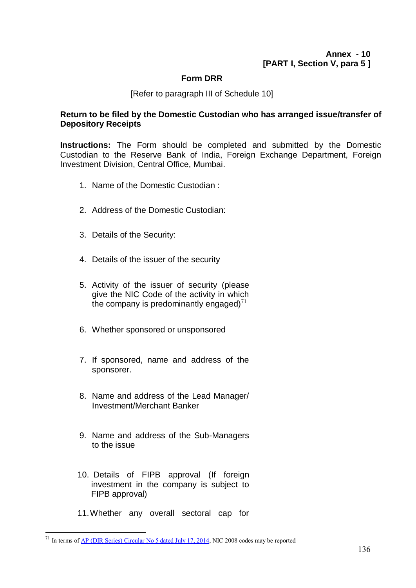## **Form DRR**

[Refer to paragraph III of Schedule 10]

## **Return to be filed by the Domestic Custodian who has arranged issue/transfer of Depository Receipts**

**Instructions:** The Form should be completed and submitted by the Domestic Custodian to the Reserve Bank of India, Foreign Exchange Department, Foreign Investment Division, Central Office, Mumbai.

- 1. Name of the Domestic Custodian :
- 2. Address of the Domestic Custodian:
- 3. Details of the Security:
- 4. Details of the issuer of the security
- 5. Activity of the issuer of security (please give the NIC Code of the activity in which the company is predominantly engaged)<sup>71</sup>
- 6. Whether sponsored or unsponsored
- 7. If sponsored, name and address of the sponsorer.
- 8. Name and address of the Lead Manager/ Investment/Merchant Banker
- 9. Name and address of the Sub-Managers to the issue
- 10. Details of FIPB approval (If foreign investment in the company is subject to FIPB approval)
- 11.Whether any overall sectoral cap for

 $\overline{a}$ 

<sup>&</sup>lt;sup>71</sup> In terms of <u>AP (DIR Series) Circular No 5 dated July 17, 2014</u>, NIC 2008 codes may be reported